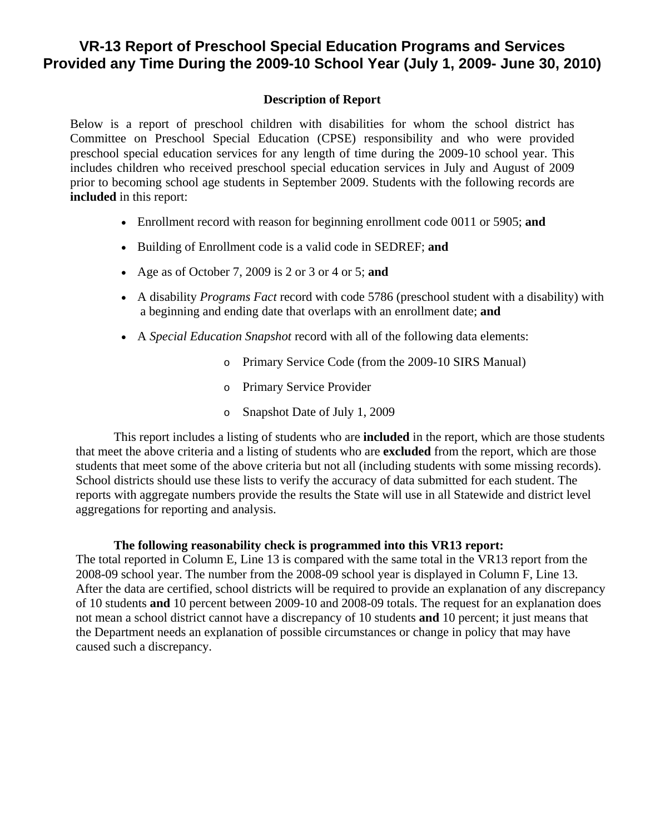## **VR-13 Report of Preschool Special Education Programs and Services Provided any Time During the 2009-10 School Year (July 1, 2009- June 30, 2010)**

## **Description of Report**

Below is a report of preschool children with disabilities for whom the school district has Committee on Preschool Special Education (CPSE) responsibility and who were provided preschool special education services for any length of time during the 2009-10 school year. This includes children who received preschool special education services in July and August of 2009 prior to becoming school age students in September 2009. Students with the following records are **included** in this report:

- Enrollment record with reason for beginning enrollment code 0011 or 5905; **and**
- Building of Enrollment code is a valid code in SEDREF; **and**
- Age as of October 7, 2009 is 2 or 3 or 4 or 5; **and**
- A disability *Programs Fact* record with code 5786 (preschool student with a disability) with a beginning and ending date that overlaps with an enrollment date; **and**
- A *Special Education Snapshot* record with all of the following data elements:
	- o Primary Service Code (from the 2009-10 SIRS Manual)
	- o Primary Service Provider
	- o Snapshot Date of July 1, 2009

This report includes a listing of students who are **included** in the report, which are those students that meet the above criteria and a listing of students who are **excluded** from the report, which are those students that meet some of the above criteria but not all (including students with some missing records). School districts should use these lists to verify the accuracy of data submitted for each student. The reports with aggregate numbers provide the results the State will use in all Statewide and district level aggregations for reporting and analysis.

## **The following reasonability check is programmed into this VR13 report:**

The total reported in Column E, Line 13 is compared with the same total in the VR13 report from the 2008-09 school year. The number from the 2008-09 school year is displayed in Column F, Line 13. After the data are certified, school districts will be required to provide an explanation of any discrepancy of 10 students **and** 10 percent between 2009-10 and 2008-09 totals. The request for an explanation does not mean a school district cannot have a discrepancy of 10 students **and** 10 percent; it just means that the Department needs an explanation of possible circumstances or change in policy that may have caused such a discrepancy.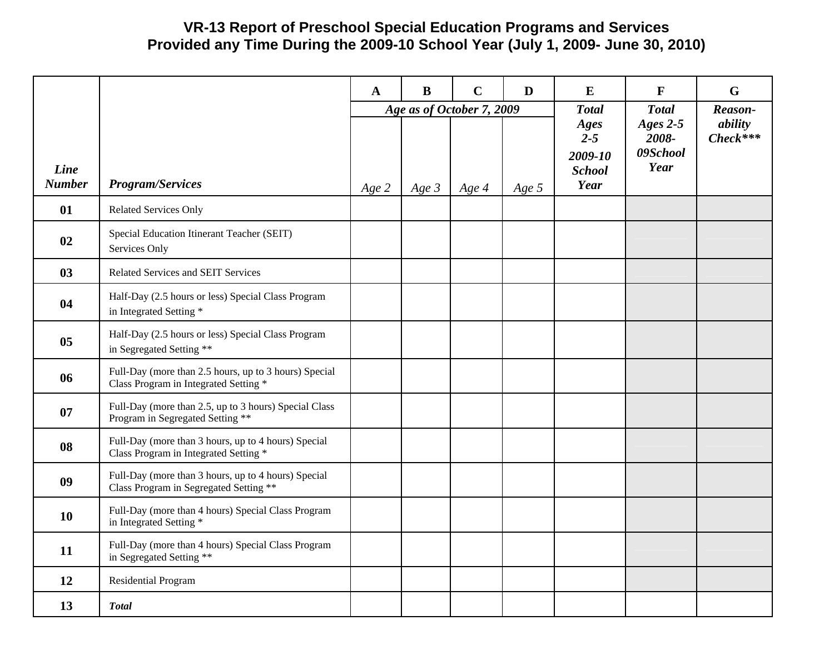## **VR-13 Report of Preschool Special Education Programs and Services Provided any Time During the 2009-10 School Year (July 1, 2009- June 30, 2010)**

|                       |                                                                                                | $\mathbf{A}$ | $\bf{B}$ | $\mathbf C$               | D       | E                                | $\mathbf{F}$                        | G                                |
|-----------------------|------------------------------------------------------------------------------------------------|--------------|----------|---------------------------|---------|----------------------------------|-------------------------------------|----------------------------------|
|                       |                                                                                                |              |          | Age as of October 7, 2009 |         | <b>Total</b><br>Ages<br>$2 - 5$  | <b>Total</b><br>Ages $2-5$<br>2008- | Reason-<br>ability<br>$Check***$ |
| Line<br><b>Number</b> | <b>Program/Services</b>                                                                        | Age 2        | Age $3$  | Age 4                     | Age $5$ | 2009-10<br><b>School</b><br>Year | 09School<br>Year                    |                                  |
| 01                    | <b>Related Services Only</b>                                                                   |              |          |                           |         |                                  |                                     |                                  |
| 02                    | Special Education Itinerant Teacher (SEIT)<br>Services Only                                    |              |          |                           |         |                                  |                                     |                                  |
| 03                    | Related Services and SEIT Services                                                             |              |          |                           |         |                                  |                                     |                                  |
| 04                    | Half-Day (2.5 hours or less) Special Class Program<br>in Integrated Setting *                  |              |          |                           |         |                                  |                                     |                                  |
| 0 <sub>5</sub>        | Half-Day (2.5 hours or less) Special Class Program<br>in Segregated Setting **                 |              |          |                           |         |                                  |                                     |                                  |
| 06                    | Full-Day (more than 2.5 hours, up to 3 hours) Special<br>Class Program in Integrated Setting * |              |          |                           |         |                                  |                                     |                                  |
| 07                    | Full-Day (more than 2.5, up to 3 hours) Special Class<br>Program in Segregated Setting **      |              |          |                           |         |                                  |                                     |                                  |
| 08                    | Full-Day (more than 3 hours, up to 4 hours) Special<br>Class Program in Integrated Setting *   |              |          |                           |         |                                  |                                     |                                  |
| 09                    | Full-Day (more than 3 hours, up to 4 hours) Special<br>Class Program in Segregated Setting **  |              |          |                           |         |                                  |                                     |                                  |
| 10                    | Full-Day (more than 4 hours) Special Class Program<br>in Integrated Setting *                  |              |          |                           |         |                                  |                                     |                                  |
| 11                    | Full-Day (more than 4 hours) Special Class Program<br>in Segregated Setting **                 |              |          |                           |         |                                  |                                     |                                  |
| 12                    | Residential Program                                                                            |              |          |                           |         |                                  |                                     |                                  |
| 13                    | <b>Total</b>                                                                                   |              |          |                           |         |                                  |                                     |                                  |